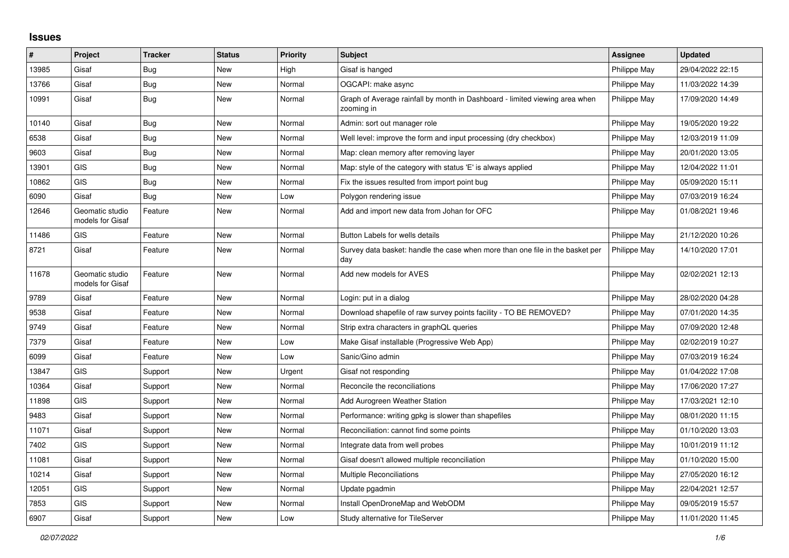## **Issues**

| #     | Project                             | <b>Tracker</b> | <b>Status</b> | <b>Priority</b> | <b>Subject</b>                                                                            | <b>Assignee</b> | <b>Updated</b>   |
|-------|-------------------------------------|----------------|---------------|-----------------|-------------------------------------------------------------------------------------------|-----------------|------------------|
| 13985 | Gisaf                               | Bug            | New           | High            | Gisaf is hanged                                                                           | Philippe May    | 29/04/2022 22:15 |
| 13766 | Gisaf                               | Bug            | New           | Normal          | OGCAPI: make async                                                                        | Philippe May    | 11/03/2022 14:39 |
| 10991 | Gisaf                               | Bug            | <b>New</b>    | Normal          | Graph of Average rainfall by month in Dashboard - limited viewing area when<br>zooming in | Philippe May    | 17/09/2020 14:49 |
| 10140 | Gisaf                               | Bug            | <b>New</b>    | Normal          | Admin: sort out manager role                                                              | Philippe May    | 19/05/2020 19:22 |
| 6538  | Gisaf                               | Bug            | New           | Normal          | Well level: improve the form and input processing (dry checkbox)                          | Philippe May    | 12/03/2019 11:09 |
| 9603  | Gisaf                               | Bug            | New           | Normal          | Map: clean memory after removing layer                                                    | Philippe May    | 20/01/2020 13:05 |
| 13901 | <b>GIS</b>                          | <b>Bug</b>     | <b>New</b>    | Normal          | Map: style of the category with status 'E' is always applied                              | Philippe May    | 12/04/2022 11:01 |
| 10862 | <b>GIS</b>                          | Bug            | New           | Normal          | Fix the issues resulted from import point bug                                             | Philippe May    | 05/09/2020 15:11 |
| 6090  | Gisaf                               | Bug            | New           | Low             | Polygon rendering issue                                                                   | Philippe May    | 07/03/2019 16:24 |
| 12646 | Geomatic studio<br>models for Gisaf | Feature        | New           | Normal          | Add and import new data from Johan for OFC                                                | Philippe May    | 01/08/2021 19:46 |
| 11486 | <b>GIS</b>                          | Feature        | <b>New</b>    | Normal          | Button Labels for wells details                                                           | Philippe May    | 21/12/2020 10:26 |
| 8721  | Gisaf                               | Feature        | <b>New</b>    | Normal          | Survey data basket: handle the case when more than one file in the basket per<br>day      | Philippe May    | 14/10/2020 17:01 |
| 11678 | Geomatic studio<br>models for Gisaf | Feature        | <b>New</b>    | Normal          | Add new models for AVES                                                                   | Philippe May    | 02/02/2021 12:13 |
| 9789  | Gisaf                               | Feature        | New           | Normal          | Login: put in a dialog                                                                    | Philippe May    | 28/02/2020 04:28 |
| 9538  | Gisaf                               | Feature        | New           | Normal          | Download shapefile of raw survey points facility - TO BE REMOVED?                         | Philippe May    | 07/01/2020 14:35 |
| 9749  | Gisaf                               | Feature        | New           | Normal          | Strip extra characters in graphQL queries                                                 | Philippe May    | 07/09/2020 12:48 |
| 7379  | Gisaf                               | Feature        | New           | Low             | Make Gisaf installable (Progressive Web App)                                              | Philippe May    | 02/02/2019 10:27 |
| 6099  | Gisaf                               | Feature        | New           | Low             | Sanic/Gino admin                                                                          | Philippe May    | 07/03/2019 16:24 |
| 13847 | GIS                                 | Support        | New           | Urgent          | Gisaf not responding                                                                      | Philippe May    | 01/04/2022 17:08 |
| 10364 | Gisaf                               | Support        | New           | Normal          | Reconcile the reconciliations                                                             | Philippe May    | 17/06/2020 17:27 |
| 11898 | <b>GIS</b>                          | Support        | <b>New</b>    | Normal          | Add Aurogreen Weather Station                                                             | Philippe May    | 17/03/2021 12:10 |
| 9483  | Gisaf                               | Support        | New           | Normal          | Performance: writing gpkg is slower than shapefiles                                       | Philippe May    | 08/01/2020 11:15 |
| 11071 | Gisaf                               | Support        | New           | Normal          | Reconciliation: cannot find some points                                                   | Philippe May    | 01/10/2020 13:03 |
| 7402  | <b>GIS</b>                          | Support        | <b>New</b>    | Normal          | Integrate data from well probes                                                           | Philippe May    | 10/01/2019 11:12 |
| 11081 | Gisaf                               | Support        | New           | Normal          | Gisaf doesn't allowed multiple reconciliation                                             | Philippe May    | 01/10/2020 15:00 |
| 10214 | Gisaf                               | Support        | New           | Normal          | <b>Multiple Reconciliations</b>                                                           | Philippe May    | 27/05/2020 16:12 |
| 12051 | <b>GIS</b>                          | Support        | New           | Normal          | Update pgadmin                                                                            | Philippe May    | 22/04/2021 12:57 |
| 7853  | GIS                                 | Support        | <b>New</b>    | Normal          | Install OpenDroneMap and WebODM                                                           | Philippe May    | 09/05/2019 15:57 |
| 6907  | Gisaf                               | Support        | <b>New</b>    | Low             | Study alternative for TileServer                                                          | Philippe May    | 11/01/2020 11:45 |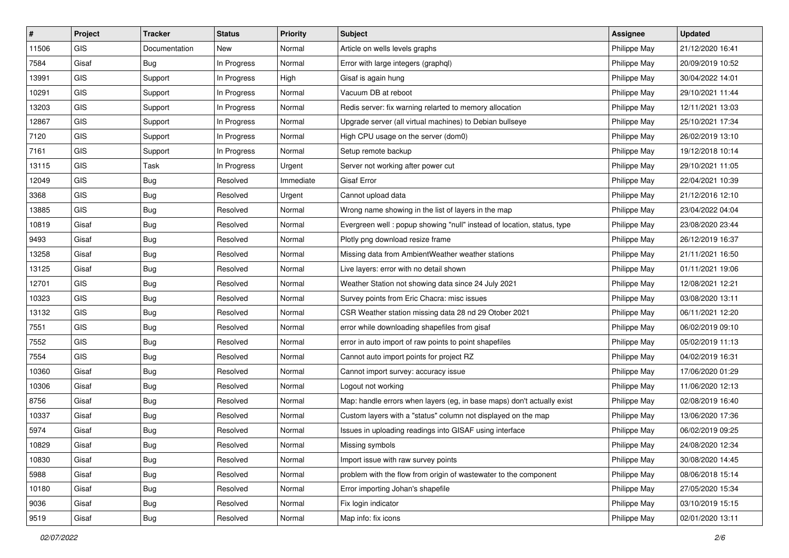| #     | Project    | <b>Tracker</b> | <b>Status</b> | <b>Priority</b> | Subject                                                                 | <b>Assignee</b> | <b>Updated</b>   |
|-------|------------|----------------|---------------|-----------------|-------------------------------------------------------------------------|-----------------|------------------|
| 11506 | GIS        | Documentation  | New           | Normal          | Article on wells levels graphs                                          | Philippe May    | 21/12/2020 16:41 |
| 7584  | Gisaf      | <b>Bug</b>     | In Progress   | Normal          | Error with large integers (graphql)                                     | Philippe May    | 20/09/2019 10:52 |
| 13991 | GIS        | Support        | In Progress   | High            | Gisaf is again hung                                                     | Philippe May    | 30/04/2022 14:01 |
| 10291 | GIS        | Support        | In Progress   | Normal          | Vacuum DB at reboot                                                     | Philippe May    | 29/10/2021 11:44 |
| 13203 | GIS        | Support        | In Progress   | Normal          | Redis server: fix warning relarted to memory allocation                 | Philippe May    | 12/11/2021 13:03 |
| 12867 | GIS        | Support        | In Progress   | Normal          | Upgrade server (all virtual machines) to Debian bullseye                | Philippe May    | 25/10/2021 17:34 |
| 7120  | GIS        | Support        | In Progress   | Normal          | High CPU usage on the server (dom0)                                     | Philippe May    | 26/02/2019 13:10 |
| 7161  | GIS        | Support        | In Progress   | Normal          | Setup remote backup                                                     | Philippe May    | 19/12/2018 10:14 |
| 13115 | GIS        | Task           | In Progress   | Urgent          | Server not working after power cut                                      | Philippe May    | 29/10/2021 11:05 |
| 12049 | <b>GIS</b> | Bug            | Resolved      | Immediate       | <b>Gisaf Error</b>                                                      | Philippe May    | 22/04/2021 10:39 |
| 3368  | <b>GIS</b> | <b>Bug</b>     | Resolved      | Urgent          | Cannot upload data                                                      | Philippe May    | 21/12/2016 12:10 |
| 13885 | GIS        | <b>Bug</b>     | Resolved      | Normal          | Wrong name showing in the list of layers in the map                     | Philippe May    | 23/04/2022 04:04 |
| 10819 | Gisaf      | Bug            | Resolved      | Normal          | Evergreen well : popup showing "null" instead of location, status, type | Philippe May    | 23/08/2020 23:44 |
| 9493  | Gisaf      | <b>Bug</b>     | Resolved      | Normal          | Plotly png download resize frame                                        | Philippe May    | 26/12/2019 16:37 |
| 13258 | Gisaf      | <b>Bug</b>     | Resolved      | Normal          | Missing data from AmbientWeather weather stations                       | Philippe May    | 21/11/2021 16:50 |
| 13125 | Gisaf      | <b>Bug</b>     | Resolved      | Normal          | Live layers: error with no detail shown                                 | Philippe May    | 01/11/2021 19:06 |
| 12701 | GIS        | <b>Bug</b>     | Resolved      | Normal          | Weather Station not showing data since 24 July 2021                     | Philippe May    | 12/08/2021 12:21 |
| 10323 | GIS        | <b>Bug</b>     | Resolved      | Normal          | Survey points from Eric Chacra: misc issues                             | Philippe May    | 03/08/2020 13:11 |
| 13132 | GIS        | <b>Bug</b>     | Resolved      | Normal          | CSR Weather station missing data 28 nd 29 Otober 2021                   | Philippe May    | 06/11/2021 12:20 |
| 7551  | <b>GIS</b> | <b>Bug</b>     | Resolved      | Normal          | error while downloading shapefiles from gisaf                           | Philippe May    | 06/02/2019 09:10 |
| 7552  | GIS        | <b>Bug</b>     | Resolved      | Normal          | error in auto import of raw points to point shapefiles                  | Philippe May    | 05/02/2019 11:13 |
| 7554  | GIS        | <b>Bug</b>     | Resolved      | Normal          | Cannot auto import points for project RZ                                | Philippe May    | 04/02/2019 16:31 |
| 10360 | Gisaf      | Bug            | Resolved      | Normal          | Cannot import survey: accuracy issue                                    | Philippe May    | 17/06/2020 01:29 |
| 10306 | Gisaf      | <b>Bug</b>     | Resolved      | Normal          | Logout not working                                                      | Philippe May    | 11/06/2020 12:13 |
| 8756  | Gisaf      | <b>Bug</b>     | Resolved      | Normal          | Map: handle errors when layers (eg, in base maps) don't actually exist  | Philippe May    | 02/08/2019 16:40 |
| 10337 | Gisaf      | <b>Bug</b>     | Resolved      | Normal          | Custom layers with a "status" column not displayed on the map           | Philippe May    | 13/06/2020 17:36 |
| 5974  | Gisaf      | <b>Bug</b>     | Resolved      | Normal          | Issues in uploading readings into GISAF using interface                 | Philippe May    | 06/02/2019 09:25 |
| 10829 | Gisaf      | <b>Bug</b>     | Resolved      | Normal          | Missing symbols                                                         | Philippe May    | 24/08/2020 12:34 |
| 10830 | Gisaf      | <b>Bug</b>     | Resolved      | Normal          | Import issue with raw survey points                                     | Philippe May    | 30/08/2020 14:45 |
| 5988  | Gisaf      | Bug            | Resolved      | Normal          | problem with the flow from origin of wastewater to the component        | Philippe May    | 08/06/2018 15:14 |
| 10180 | Gisaf      | <b>Bug</b>     | Resolved      | Normal          | Error importing Johan's shapefile                                       | Philippe May    | 27/05/2020 15:34 |
| 9036  | Gisaf      | <b>Bug</b>     | Resolved      | Normal          | Fix login indicator                                                     | Philippe May    | 03/10/2019 15:15 |
| 9519  | Gisaf      | Bug            | Resolved      | Normal          | Map info: fix icons                                                     | Philippe May    | 02/01/2020 13:11 |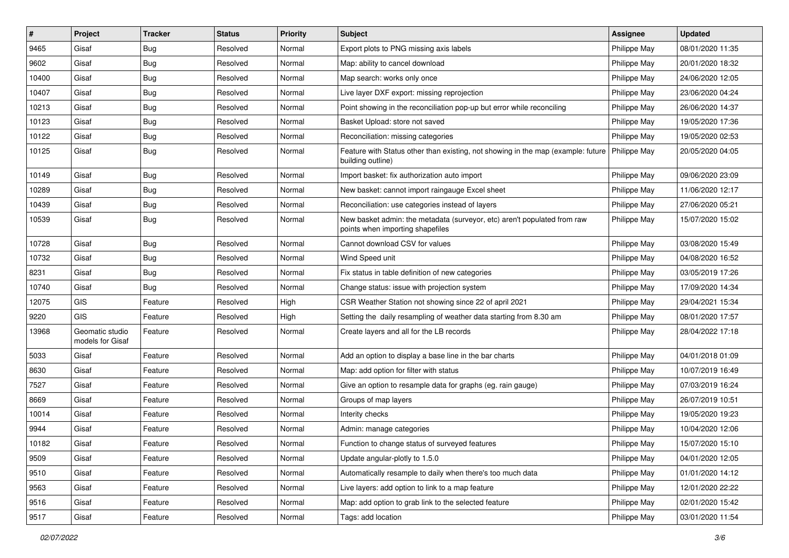| #     | Project                             | <b>Tracker</b> | <b>Status</b> | <b>Priority</b> | <b>Subject</b>                                                                                               | <b>Assignee</b> | <b>Updated</b>   |
|-------|-------------------------------------|----------------|---------------|-----------------|--------------------------------------------------------------------------------------------------------------|-----------------|------------------|
| 9465  | Gisaf                               | Bug            | Resolved      | Normal          | Export plots to PNG missing axis labels                                                                      | Philippe May    | 08/01/2020 11:35 |
| 9602  | Gisaf                               | Bug            | Resolved      | Normal          | Map: ability to cancel download                                                                              | Philippe May    | 20/01/2020 18:32 |
| 10400 | Gisaf                               | <b>Bug</b>     | Resolved      | Normal          | Map search: works only once                                                                                  | Philippe May    | 24/06/2020 12:05 |
| 10407 | Gisaf                               | <b>Bug</b>     | Resolved      | Normal          | Live layer DXF export: missing reprojection                                                                  | Philippe May    | 23/06/2020 04:24 |
| 10213 | Gisaf                               | Bug            | Resolved      | Normal          | Point showing in the reconciliation pop-up but error while reconciling                                       | Philippe May    | 26/06/2020 14:37 |
| 10123 | Gisaf                               | <b>Bug</b>     | Resolved      | Normal          | Basket Upload: store not saved                                                                               | Philippe May    | 19/05/2020 17:36 |
| 10122 | Gisaf                               | Bug            | Resolved      | Normal          | Reconciliation: missing categories                                                                           | Philippe May    | 19/05/2020 02:53 |
| 10125 | Gisaf                               | Bug            | Resolved      | Normal          | Feature with Status other than existing, not showing in the map (example: future<br>building outline)        | Philippe May    | 20/05/2020 04:05 |
| 10149 | Gisaf                               | <b>Bug</b>     | Resolved      | Normal          | Import basket: fix authorization auto import                                                                 | Philippe May    | 09/06/2020 23:09 |
| 10289 | Gisaf                               | Bug            | Resolved      | Normal          | New basket: cannot import raingauge Excel sheet                                                              | Philippe May    | 11/06/2020 12:17 |
| 10439 | Gisaf                               | <b>Bug</b>     | Resolved      | Normal          | Reconciliation: use categories instead of layers                                                             | Philippe May    | 27/06/2020 05:21 |
| 10539 | Gisaf                               | Bug            | Resolved      | Normal          | New basket admin: the metadata (surveyor, etc) aren't populated from raw<br>points when importing shapefiles | Philippe May    | 15/07/2020 15:02 |
| 10728 | Gisaf                               | Bug            | Resolved      | Normal          | Cannot download CSV for values                                                                               | Philippe May    | 03/08/2020 15:49 |
| 10732 | Gisaf                               | <b>Bug</b>     | Resolved      | Normal          | Wind Speed unit                                                                                              | Philippe May    | 04/08/2020 16:52 |
| 8231  | Gisaf                               | <b>Bug</b>     | Resolved      | Normal          | Fix status in table definition of new categories                                                             | Philippe May    | 03/05/2019 17:26 |
| 10740 | Gisaf                               | Bug            | Resolved      | Normal          | Change status: issue with projection system                                                                  | Philippe May    | 17/09/2020 14:34 |
| 12075 | <b>GIS</b>                          | Feature        | Resolved      | High            | CSR Weather Station not showing since 22 of april 2021                                                       | Philippe May    | 29/04/2021 15:34 |
| 9220  | GIS                                 | Feature        | Resolved      | High            | Setting the daily resampling of weather data starting from 8.30 am                                           | Philippe May    | 08/01/2020 17:57 |
| 13968 | Geomatic studio<br>models for Gisaf | Feature        | Resolved      | Normal          | Create layers and all for the LB records                                                                     | Philippe May    | 28/04/2022 17:18 |
| 5033  | Gisaf                               | Feature        | Resolved      | Normal          | Add an option to display a base line in the bar charts                                                       | Philippe May    | 04/01/2018 01:09 |
| 8630  | Gisaf                               | Feature        | Resolved      | Normal          | Map: add option for filter with status                                                                       | Philippe May    | 10/07/2019 16:49 |
| 7527  | Gisaf                               | Feature        | Resolved      | Normal          | Give an option to resample data for graphs (eg. rain gauge)                                                  | Philippe May    | 07/03/2019 16:24 |
| 8669  | Gisaf                               | Feature        | Resolved      | Normal          | Groups of map layers                                                                                         | Philippe May    | 26/07/2019 10:51 |
| 10014 | Gisaf                               | Feature        | Resolved      | Normal          | Interity checks                                                                                              | Philippe May    | 19/05/2020 19:23 |
| 9944  | Gisaf                               | Feature        | Resolved      | Normal          | Admin: manage categories                                                                                     | Philippe May    | 10/04/2020 12:06 |
| 10182 | Gisaf                               | Feature        | Resolved      | Normal          | Function to change status of surveyed features                                                               | Philippe May    | 15/07/2020 15:10 |
| 9509  | Gisaf                               | Feature        | Resolved      | Normal          | Update angular-plotly to 1.5.0                                                                               | Philippe May    | 04/01/2020 12:05 |
| 9510  | Gisaf                               | Feature        | Resolved      | Normal          | Automatically resample to daily when there's too much data                                                   | Philippe May    | 01/01/2020 14:12 |
| 9563  | Gisaf                               | Feature        | Resolved      | Normal          | Live layers: add option to link to a map feature                                                             | Philippe May    | 12/01/2020 22:22 |
| 9516  | Gisaf                               | Feature        | Resolved      | Normal          | Map: add option to grab link to the selected feature                                                         | Philippe May    | 02/01/2020 15:42 |
| 9517  | Gisaf                               | Feature        | Resolved      | Normal          | Tags: add location                                                                                           | Philippe May    | 03/01/2020 11:54 |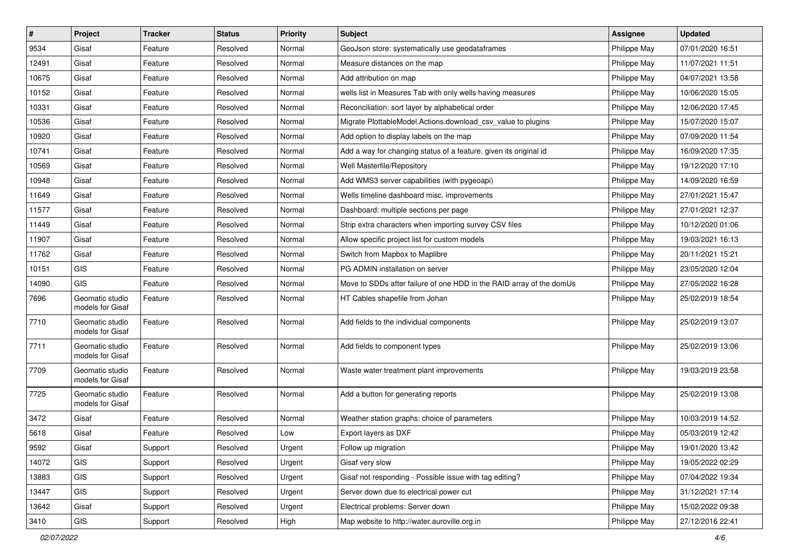| $\vert$ # | Project                             | <b>Tracker</b> | <b>Status</b> | Priority | Subject                                                              | <b>Assignee</b>     | <b>Updated</b>   |
|-----------|-------------------------------------|----------------|---------------|----------|----------------------------------------------------------------------|---------------------|------------------|
| 9534      | Gisaf                               | Feature        | Resolved      | Normal   | GeoJson store: systematically use geodataframes                      | Philippe May        | 07/01/2020 16:51 |
| 12491     | Gisaf                               | Feature        | Resolved      | Normal   | Measure distances on the map                                         | Philippe May        | 11/07/2021 11:51 |
| 10675     | Gisaf                               | Feature        | Resolved      | Normal   | Add attribution on map                                               | Philippe May        | 04/07/2021 13:58 |
| 10152     | Gisaf                               | Feature        | Resolved      | Normal   | wells list in Measures Tab with only wells having measures           | Philippe May        | 10/06/2020 15:05 |
| 10331     | Gisaf                               | Feature        | Resolved      | Normal   | Reconciliation: sort layer by alphabetical order                     | Philippe May        | 12/06/2020 17:45 |
| 10536     | Gisaf                               | Feature        | Resolved      | Normal   | Migrate PlottableModel.Actions.download csv value to plugins         | Philippe May        | 15/07/2020 15:07 |
| 10920     | Gisaf                               | Feature        | Resolved      | Normal   | Add option to display labels on the map                              | Philippe May        | 07/09/2020 11:54 |
| 10741     | Gisaf                               | Feature        | Resolved      | Normal   | Add a way for changing status of a feature, given its original id    | Philippe May        | 16/09/2020 17:35 |
| 10569     | Gisaf                               | Feature        | Resolved      | Normal   | Well Masterfile/Repository                                           | Philippe May        | 19/12/2020 17:10 |
| 10948     | Gisaf                               | Feature        | Resolved      | Normal   | Add WMS3 server capabilities (with pygeoapi)                         | Philippe May        | 14/09/2020 16:59 |
| 11649     | Gisaf                               | Feature        | Resolved      | Normal   | Wells timeline dashboard misc. improvements                          | Philippe May        | 27/01/2021 15:47 |
| 11577     | Gisaf                               | Feature        | Resolved      | Normal   | Dashboard: multiple sections per page                                | Philippe May        | 27/01/2021 12:37 |
| 11449     | Gisaf                               | Feature        | Resolved      | Normal   | Strip extra characters when importing survey CSV files               | Philippe May        | 10/12/2020 01:06 |
| 11907     | Gisaf                               | Feature        | Resolved      | Normal   | Allow specific project list for custom models                        | Philippe May        | 19/03/2021 16:13 |
| 11762     | Gisaf                               | Feature        | Resolved      | Normal   | Switch from Mapbox to Maplibre                                       | Philippe May        | 20/11/2021 15:21 |
| 10151     | GIS                                 | Feature        | Resolved      | Normal   | PG ADMIN installation on server                                      | Philippe May        | 23/05/2020 12:04 |
| 14090     | GIS                                 | Feature        | Resolved      | Normal   | Move to SDDs after failure of one HDD in the RAID array of the domUs | Philippe May        | 27/05/2022 16:28 |
| 7696      | Geomatic studio<br>models for Gisaf | Feature        | Resolved      | Normal   | HT Cables shapefile from Johan                                       | Philippe May        | 25/02/2019 18:54 |
| 7710      | Geomatic studio<br>models for Gisaf | Feature        | Resolved      | Normal   | Add fields to the individual components                              | Philippe May        | 25/02/2019 13:07 |
| 7711      | Geomatic studio<br>models for Gisaf | Feature        | Resolved      | Normal   | Add fields to component types                                        | Philippe May        | 25/02/2019 13:06 |
| 7709      | Geomatic studio<br>models for Gisaf | Feature        | Resolved      | Normal   | Waste water treatment plant improvements                             | <b>Philippe May</b> | 19/03/2019 23:58 |
| 7725      | Geomatic studio<br>models for Gisaf | Feature        | Resolved      | Normal   | Add a button for generating reports                                  | Philippe May        | 25/02/2019 13:08 |
| 3472      | Gisaf                               | Feature        | Resolved      | Normal   | Weather station graphs: choice of parameters                         | Philippe May        | 10/03/2019 14:52 |
| 5618      | Gisaf                               | Feature        | Resolved      | Low      | Export layers as DXF                                                 | Philippe May        | 05/03/2019 12:42 |
| 9592      | Gisaf                               | Support        | Resolved      | Urgent   | Follow up migration                                                  | Philippe May        | 19/01/2020 13:42 |
| 14072     | GIS                                 | Support        | Resolved      | Urgent   | Gisaf very slow                                                      | Philippe May        | 19/05/2022 02:29 |
| 13883     | GIS                                 | Support        | Resolved      | Urgent   | Gisaf not responding - Possible issue with tag editing?              | Philippe May        | 07/04/2022 19:34 |
| 13447     | GIS                                 | Support        | Resolved      | Urgent   | Server down due to electrical power cut                              | Philippe May        | 31/12/2021 17:14 |
| 13642     | Gisaf                               | Support        | Resolved      | Urgent   | Electrical problems: Server down                                     | Philippe May        | 15/02/2022 09:38 |
| 3410      | GIS                                 | Support        | Resolved      | High     | Map website to http://water.auroville.org.in                         | Philippe May        | 27/12/2016 22:41 |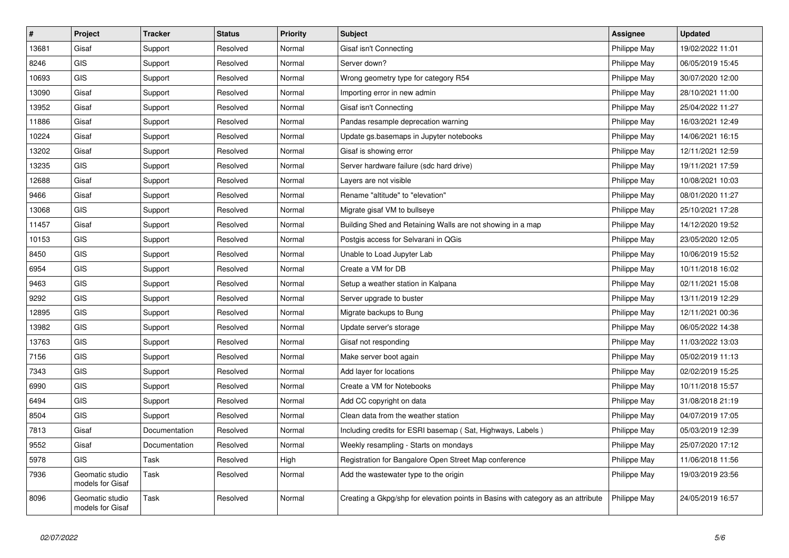| $\vert$ # | Project                             | <b>Tracker</b> | <b>Status</b> | <b>Priority</b> | <b>Subject</b>                                                                   | <b>Assignee</b> | <b>Updated</b>   |
|-----------|-------------------------------------|----------------|---------------|-----------------|----------------------------------------------------------------------------------|-----------------|------------------|
| 13681     | Gisaf                               | Support        | Resolved      | Normal          | Gisaf isn't Connecting                                                           | Philippe May    | 19/02/2022 11:01 |
| 8246      | <b>GIS</b>                          | Support        | Resolved      | Normal          | Server down?                                                                     | Philippe May    | 06/05/2019 15:45 |
| 10693     | <b>GIS</b>                          | Support        | Resolved      | Normal          | Wrong geometry type for category R54                                             | Philippe May    | 30/07/2020 12:00 |
| 13090     | Gisaf                               | Support        | Resolved      | Normal          | Importing error in new admin                                                     | Philippe May    | 28/10/2021 11:00 |
| 13952     | Gisaf                               | Support        | Resolved      | Normal          | Gisaf isn't Connecting                                                           | Philippe May    | 25/04/2022 11:27 |
| 11886     | Gisaf                               | Support        | Resolved      | Normal          | Pandas resample deprecation warning                                              | Philippe May    | 16/03/2021 12:49 |
| 10224     | Gisaf                               | Support        | Resolved      | Normal          | Update gs.basemaps in Jupyter notebooks                                          | Philippe May    | 14/06/2021 16:15 |
| 13202     | Gisaf                               | Support        | Resolved      | Normal          | Gisaf is showing error                                                           | Philippe May    | 12/11/2021 12:59 |
| 13235     | <b>GIS</b>                          | Support        | Resolved      | Normal          | Server hardware failure (sdc hard drive)                                         | Philippe May    | 19/11/2021 17:59 |
| 12688     | Gisaf                               | Support        | Resolved      | Normal          | Layers are not visible                                                           | Philippe May    | 10/08/2021 10:03 |
| 9466      | Gisaf                               | Support        | Resolved      | Normal          | Rename "altitude" to "elevation"                                                 | Philippe May    | 08/01/2020 11:27 |
| 13068     | <b>GIS</b>                          | Support        | Resolved      | Normal          | Migrate gisaf VM to bullseye                                                     | Philippe May    | 25/10/2021 17:28 |
| 11457     | Gisaf                               | Support        | Resolved      | Normal          | Building Shed and Retaining Walls are not showing in a map                       | Philippe May    | 14/12/2020 19:52 |
| 10153     | <b>GIS</b>                          | Support        | Resolved      | Normal          | Postgis access for Selvarani in QGis                                             | Philippe May    | 23/05/2020 12:05 |
| 8450      | <b>GIS</b>                          | Support        | Resolved      | Normal          | Unable to Load Jupyter Lab                                                       | Philippe May    | 10/06/2019 15:52 |
| 6954      | <b>GIS</b>                          | Support        | Resolved      | Normal          | Create a VM for DB                                                               | Philippe May    | 10/11/2018 16:02 |
| 9463      | <b>GIS</b>                          | Support        | Resolved      | Normal          | Setup a weather station in Kalpana                                               | Philippe May    | 02/11/2021 15:08 |
| 9292      | <b>GIS</b>                          | Support        | Resolved      | Normal          | Server upgrade to buster                                                         | Philippe May    | 13/11/2019 12:29 |
| 12895     | GIS                                 | Support        | Resolved      | Normal          | Migrate backups to Bung                                                          | Philippe May    | 12/11/2021 00:36 |
| 13982     | <b>GIS</b>                          | Support        | Resolved      | Normal          | Update server's storage                                                          | Philippe May    | 06/05/2022 14:38 |
| 13763     | <b>GIS</b>                          | Support        | Resolved      | Normal          | Gisaf not responding                                                             | Philippe May    | 11/03/2022 13:03 |
| 7156      | <b>GIS</b>                          | Support        | Resolved      | Normal          | Make server boot again                                                           | Philippe May    | 05/02/2019 11:13 |
| 7343      | GIS                                 | Support        | Resolved      | Normal          | Add layer for locations                                                          | Philippe May    | 02/02/2019 15:25 |
| 6990      | GIS                                 | Support        | Resolved      | Normal          | Create a VM for Notebooks                                                        | Philippe May    | 10/11/2018 15:57 |
| 6494      | GIS                                 | Support        | Resolved      | Normal          | Add CC copyright on data                                                         | Philippe May    | 31/08/2018 21:19 |
| 8504      | <b>GIS</b>                          | Support        | Resolved      | Normal          | Clean data from the weather station                                              | Philippe May    | 04/07/2019 17:05 |
| 7813      | Gisaf                               | Documentation  | Resolved      | Normal          | Including credits for ESRI basemap (Sat, Highways, Labels)                       | Philippe May    | 05/03/2019 12:39 |
| 9552      | Gisaf                               | Documentation  | Resolved      | Normal          | Weekly resampling - Starts on mondays                                            | Philippe May    | 25/07/2020 17:12 |
| 5978      | <b>GIS</b>                          | Task           | Resolved      | High            | Registration for Bangalore Open Street Map conference                            | Philippe May    | 11/06/2018 11:56 |
| 7936      | Geomatic studio<br>models for Gisaf | Task           | Resolved      | Normal          | Add the wastewater type to the origin                                            | Philippe May    | 19/03/2019 23:56 |
| 8096      | Geomatic studio<br>models for Gisaf | Task           | Resolved      | Normal          | Creating a Gkpg/shp for elevation points in Basins with category as an attribute | Philippe May    | 24/05/2019 16:57 |